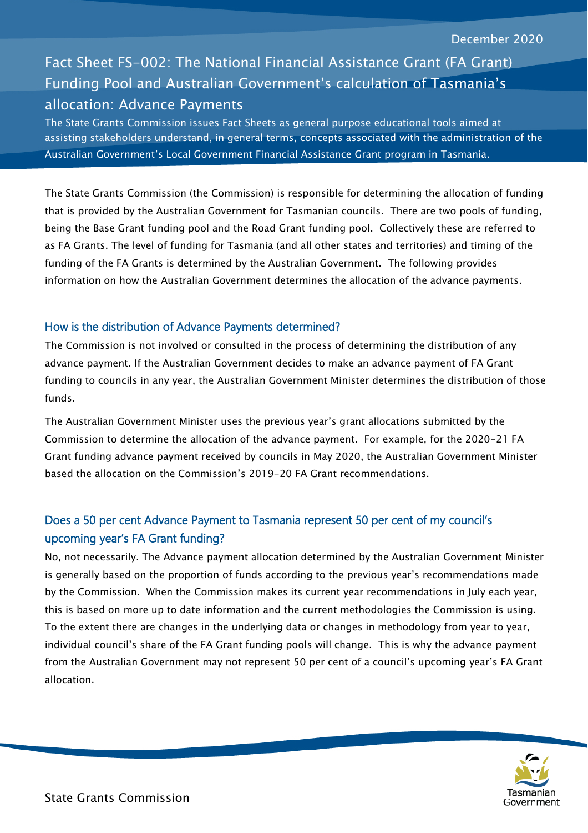# Fact Sheet FS-002: The National Financial Assistance Grant (FA Grant) Funding Pool and Australian Government's calculation of Tasmania's allocation: Advance Payments

The State Grants Commission issues Fact Sheets as general purpose educational tools aimed at assisting stakeholders understand, in general terms, concepts associated with the administration of the Australian Government's Local Government Financial Assistance Grant program in Tasmania.

The State Grants Commission (the Commission) is responsible for determining the allocation of funding that is provided by the Australian Government for Tasmanian councils. There are two pools of funding, being the Base Grant funding pool and the Road Grant funding pool. Collectively these are referred to as FA Grants. The level of funding for Tasmania (and all other states and territories) and timing of the funding of the FA Grants is determined by the Australian Government. The following provides information on how the Australian Government determines the allocation of the advance payments.

#### How is the distribution of Advance Payments determined?

The Commission is not involved or consulted in the process of determining the distribution of any advance payment. If the Australian Government decides to make an advance payment of FA Grant funding to councils in any year, the Australian Government Minister determines the distribution of those funds.

The Australian Government Minister uses the previous year's grant allocations submitted by the Commission to determine the allocation of the advance payment. For example, for the 2020-21 FA Grant funding advance payment received by councils in May 2020, the Australian Government Minister based the allocation on the Commission's 2019-20 FA Grant recommendations.

# Does a 50 per cent Advance Payment to Tasmania represent 50 per cent of my council's upcoming year's FA Grant funding?

No, not necessarily. The Advance payment allocation determined by the Australian Government Minister is generally based on the proportion of funds according to the previous year's recommendations made by the Commission. When the Commission makes its current year recommendations in July each year, this is based on more up to date information and the current methodologies the Commission is using. To the extent there are changes in the underlying data or changes in methodology from year to year, individual council's share of the FA Grant funding pools will change. This is why the advance payment from the Australian Government may not represent 50 per cent of a council's upcoming year's FA Grant allocation.

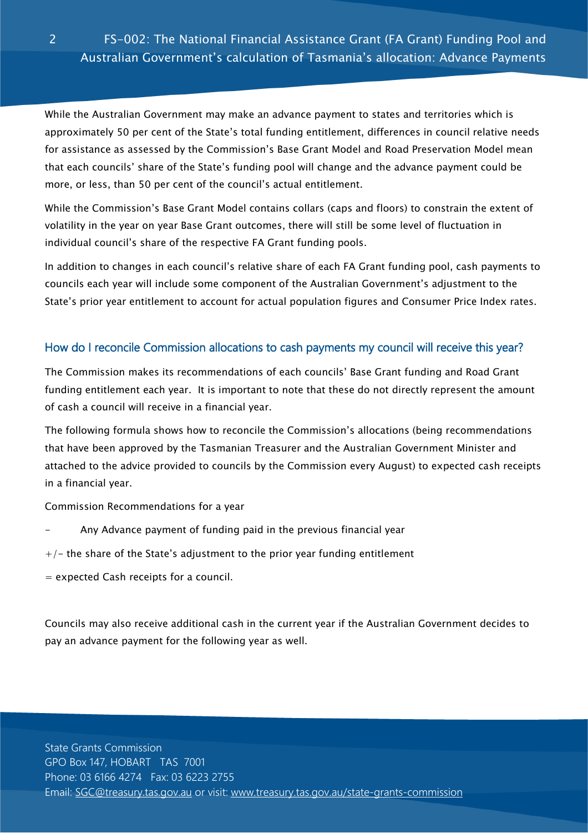While the Australian Government may make an advance payment to states and territories which is approximately 50 per cent of the State's total funding entitlement, differences in council relative needs for assistance as assessed by the Commission's Base Grant Model and Road Preservation Model mean that each councils' share of the State's funding pool will change and the advance payment could be more, or less, than 50 per cent of the council's actual entitlement.

While the Commission's Base Grant Model contains collars (caps and floors) to constrain the extent of volatility in the year on year Base Grant outcomes, there will still be some level of fluctuation in individual council's share of the respective FA Grant funding pools.

In addition to changes in each council's relative share of each FA Grant funding pool, cash payments to councils each year will include some component of the Australian Government's adjustment to the State's prior year entitlement to account for actual population figures and Consumer Price Index rates.

### How do I reconcile Commission allocations to cash payments my council will receive this year?

The Commission makes its recommendations of each councils' Base Grant funding and Road Grant funding entitlement each year. It is important to note that these do not directly represent the amount of cash a council will receive in a financial year.

The following formula shows how to reconcile the Commission's allocations (being recommendations that have been approved by the Tasmanian Treasurer and the Australian Government Minister and attached to the advice provided to councils by the Commission every August) to expected cash receipts in a financial year.

Commission Recommendations for a year

- Any Advance payment of funding paid in the previous financial year
- $+/-$  the share of the State's adjustment to the prior year funding entitlement
- = expected Cash receipts for a council.

Councils may also receive additional cash in the current year if the Australian Government decides to pay an advance payment for the following year as well.